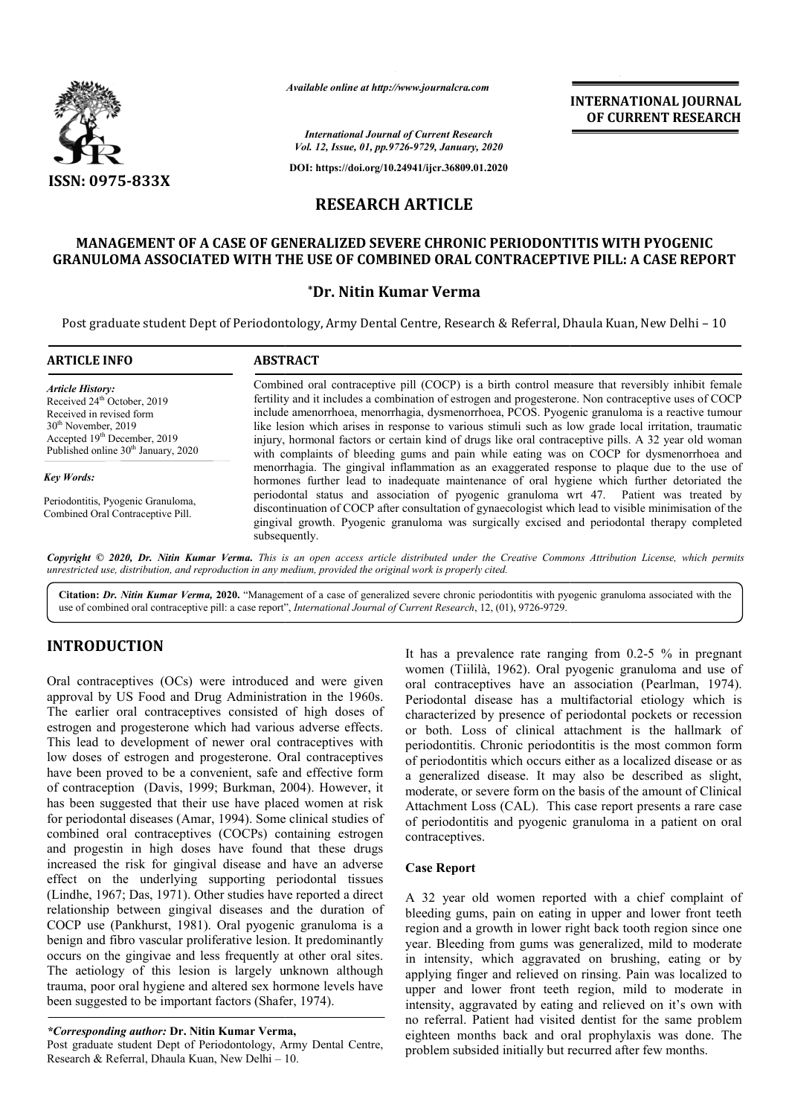

*Available online at http://www.journalcra.com*

**INTERNATIONAL JOURNAL OF CURRENT RESEARCH**

*International Journal of Current Research Vol. 12, Issue, 01, pp.9726-9729, January, 2020*

**DOI: https://doi.org/10.24941/ijcr.36809.01.2020**

# **RESEARCH ARTICLE**

## **MANAGEMENT OF A CASE OF GENERALIZED SEVERE CHRONIC PERIODONTITIS WITH PYOGENIC GRANULOMA ASSOCIATED WITH THE USE OF COMBINED ORAL CONTRACEPTIVE PILL: A CASE REPORT OF GENERALIZED CHRONIC PERIODONTITIS USE ORAL CONTRACEPTIVE PILL: REPORT**

## **\*Dr. Nitin Kumar Verma**

Post graduate student Dept of Periodontology, Army Dental Centre, Research & Referral, Dhaula Kuan, New Delhi – 10

| <b>ARTICLE INFO</b>                                                                                                                                                                                                    | <b>ABSTRACT</b>                                                                                                                                                                                                                                                                                                                                                                                                                                                                                                                                                                                                          |
|------------------------------------------------------------------------------------------------------------------------------------------------------------------------------------------------------------------------|--------------------------------------------------------------------------------------------------------------------------------------------------------------------------------------------------------------------------------------------------------------------------------------------------------------------------------------------------------------------------------------------------------------------------------------------------------------------------------------------------------------------------------------------------------------------------------------------------------------------------|
| <b>Article History:</b><br>Received 24 <sup>th</sup> October, 2019<br>Received in revised form<br>$30th$ November, 2019<br>Accepted 19 <sup>th</sup> December, 2019<br>Published online 30 <sup>th</sup> January, 2020 | Combined oral contraceptive pill (COCP) is a birth control measure that reversibly inhibit female<br>fertility and it includes a combination of estrogen and progesterone. Non contraceptive uses of COCP<br>include amenorrhoea, menorrhagia, dysmenorrhoea, PCOS. Pyogenic granuloma is a reactive tumour<br>like lesion which arises in response to various stimuli such as low grade local irritation, traumatic<br>injury, hormonal factors or certain kind of drugs like oral contraceptive pills. A 32 year old woman<br>with complaints of bleeding gums and pain while eating was on COCP for dysmenorrhoea and |
| Key Words:                                                                                                                                                                                                             | menorrhagia. The gingival inflammation as an exaggerated response to plaque due to the use of<br>hormones further lead to inadequate maintenance of oral hygiene which further detoriated the                                                                                                                                                                                                                                                                                                                                                                                                                            |
| Periodontitis, Pyogenic Granuloma,<br>Combined Oral Contraceptive Pill.                                                                                                                                                | periodontal status and association of pyogenic granuloma wrt 47. Patient was treated by<br>discontinuation of COCP after consultation of gynaecologist which lead to visible minimisation of the<br>gingival growth. Pyogenic granuloma was surgically excised and periodontal therapy completed<br>subsequently.                                                                                                                                                                                                                                                                                                        |

Copyright © 2020, Dr. Nitin Kumar Verma. This is an open access article distributed under the Creative Commons Attribution License, which permits *unrestricted use, distribution, and reproduction in any medium, provided the original work is properly cited.*

Citation: Dr. Nitin Kumar Verma, 2020. "Management of a case of generalized severe chronic periodontitis with pyogenic granuloma associated with the Citation: Dr. Nitin Kumar Verma, 2020. "Management of a case of generalized severe chronic periodontitis with py<br>use of combined oral contraceptive pill: a case report", *International Journal of Current Research*, 12, (01

# **INTRODUCTION**

Oral contraceptives (OCs) were introduced and were given approval by US Food and Drug Administration in the 1960s. The earlier oral contraceptives consisted of high doses of estrogen and progesterone which had various adverse effects. This lead to development of newer oral contraceptives with low doses of estrogen and progesterone. Oral contraceptives have been proved to be a convenient, safe and effective form have been proved to be a convenient, safe and effective form<br>of contraception (Davis, 1999; Burkman, 2004). However, it has been suggested that their use have placed women at risk for periodontal diseases (Amar, 1994). Some clinical studies of combined oral contraceptives (COCPs) containing estrogen and progestin in high doses have found that these drugs increased the risk for gingival disease and have an adverse effect on the underlying supporting periodontal tissues (Lindhe, 1967; Das, 1971). Other studies have reported a direct . relationship between gingival diseases and the duration of COCP use (Pankhurst, 1981). Oral pyogenic granuloma is a benign and fibro vascular proliferative lesion. It predominantly occurs on the gingivae and less frequently at other oral sites. The aetiology of this lesion is largely unknown although trauma, poor oral hygiene and altered sex hormone levels have been suggested to be important factors (Shafer, 1974).

*\*Corresponding author:* **Dr. Nitin Kumar Verma Verma,**

Post graduate student Dept of Periodontology, Army Dental Centre, Research & Referral, Dhaula Kuan, New Delhi – 10 10.

It has a prevalence rate ranging from  $0.2$ -5 % in pregnant women (Tiililà, 1962). Oral pyogenic granuloma and use of oral contraceptives have an association (Pearlman, 1974). Periodontal disease has a multifactorial etiology which is characterized by presence of periodontal pockets or recession or both. Loss of clinical attachment is the hallmark of periodontitis. Chronic periodontitis is the most common form of periodontitis which occurs either as a localized disease or as a generalized disease. It may also be described as slight, moderate, or severe form on the basis of the amount of Clinical Attachment Loss (CAL). This case report presents a rare case of periodontitis and pyogenic granuloma in a patient on oral contraceptives. as a multifactorial etiology which is<br>nce of periodontal pockets or recession<br>inical attachment is the hallmark of<br>periodontitis is the most common form<br>occurs either as a localized disease or as<br>. It may also be described

### **Case Report**

A 32 year old women reported with a chief complaint of bleeding gums, pain on eating in upper and lower front teeth region and a growth in lower right back tooth region since one year. Bleeding from gums was generalized, mild to moderate in intensity, which aggravated on brushing, eating or by applying finger and relieved on rinsing. Pain was localized to upper and lower front teeth region, mild to moderate in intensity, aggravated by eating and relieved on it's own with no referral. Patient had visited dentist for the same problem eighteen months back and oral prophylaxis was done. The problem subsided initially but recurred after few of periodontitis and pyogenic granuloma in a patient on oral<br>
contraceptives.<br>
Case Report<br>
A 32 year old women reported with a chief complaint of<br>
bleeding gums, pain on eating in upper and lower front teeth<br>
region and a intensity, aggravated by eating and relieved on it's own with<br>no referral. Patient had visited dentist for the same problem<br>eighteen months back and oral prophylaxis was done. The<br>problem subsided initially but recurred af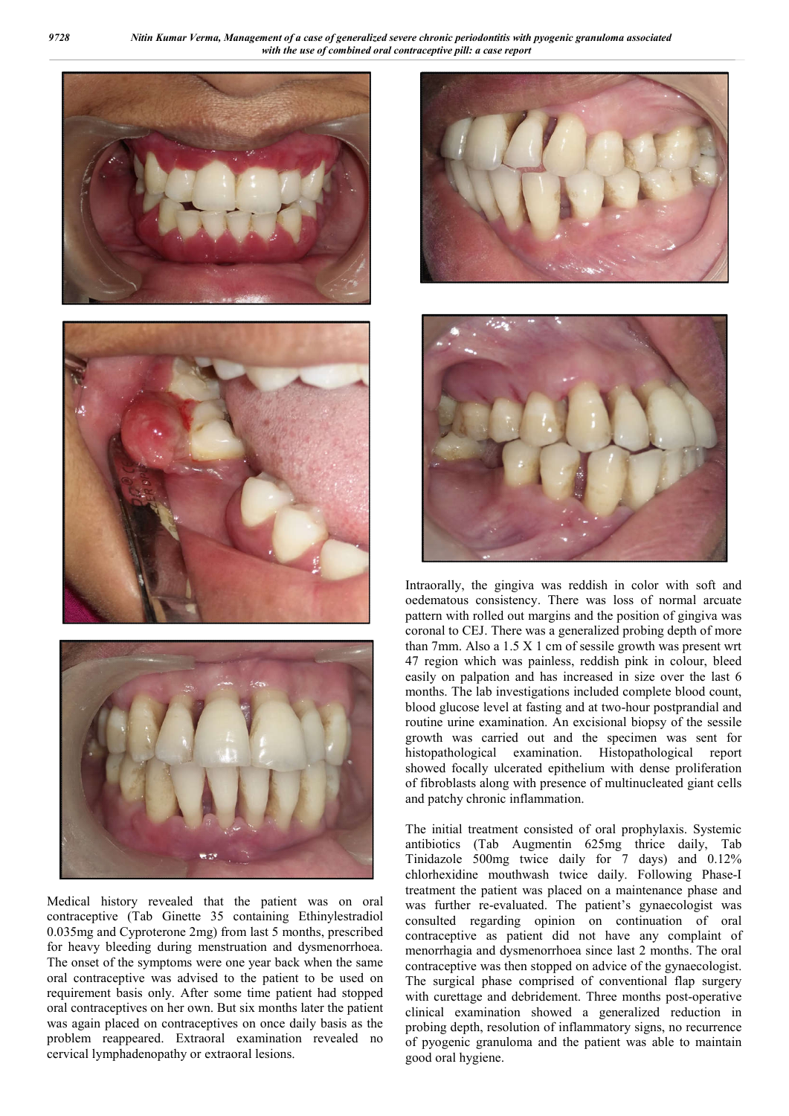





Medical history revealed that the patient was on oral contraceptive (Tab Ginette 35 containing Ethinylestradiol 0.035mg and Cyproterone 2mg) from last 5 months, prescribed for heavy bleeding during menstruation and dysmenorrhoea. The onset of the symptoms were one year back when the same oral contraceptive was advised to the patient to be used on requirement basis only. After some time patient had stopped oral contraceptives on her own. But six months later the patient was again placed on contraceptives on once daily basis as the problem reappeared. Extraoral examination revealed no cervical lymphadenopathy or extraoral lesions.





Intraorally, the gingiva was reddish in color with soft and oedematous consistency. There was loss of normal arcuate pattern with rolled out margins and the position of gingiva was coronal to CEJ. There was a generalized probing depth of more than 7mm. Also a 1.5 X 1 cm of sessile growth was present wrt 47 region which was painless, reddish pink in colour, bleed easily on palpation and has increased in size over the last 6 months. The lab investigations included complete blood count, blood glucose level at fasting and at two-hour postprandial and routine urine examination. An excisional biopsy of the sessile growth was carried out and the specimen was sent for histopathological examination. Histopathological report showed focally ulcerated epithelium with dense proliferation of fibroblasts along with presence of multinucleated giant cells and patchy chronic inflammation.

The initial treatment consisted of oral prophylaxis. Systemic antibiotics (Tab Augmentin 625mg thrice daily, Tab Tinidazole 500mg twice daily for 7 days) and 0.12% chlorhexidine mouthwash twice daily. Following Phase-I treatment the patient was placed on a maintenance phase and was further re-evaluated. The patient's gynaecologist was consulted regarding opinion on continuation of oral contraceptive as patient did not have any complaint of menorrhagia and dysmenorrhoea since last 2 months. The oral contraceptive was then stopped on advice of the gynaecologist. The surgical phase comprised of conventional flap surgery with curettage and debridement. Three months post-operative clinical examination showed a generalized reduction in probing depth, resolution of inflammatory signs, no recurrence of pyogenic granuloma and the patient was able to maintain good oral hygiene.